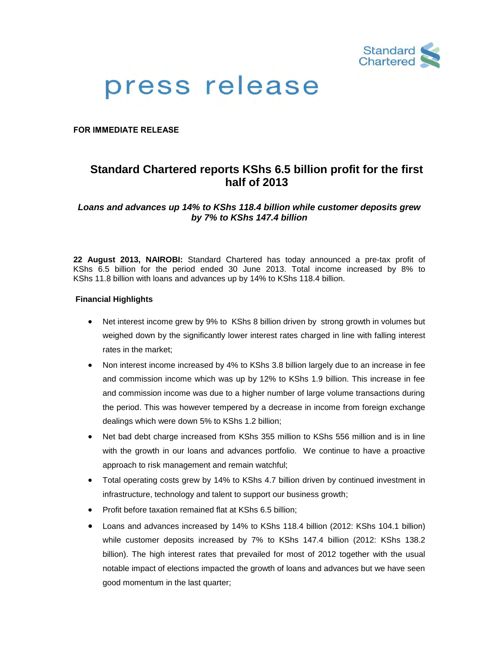

# press release

**FOR IMMEDIATE RELEASE**

# **Standard Chartered reports KShs 6.5 billion profit for the first half of 2013**

*Loans and advances up 14% to KShs 118.4 billion while customer deposits grew by 7% to KShs 147.4 billion* 

**22 August 2013, NAIROBI:** Standard Chartered has today announced a pre-tax profit of KShs 6.5 billion for the period ended 30 June 2013. Total income increased by 8% to KShs 11.8 billion with loans and advances up by 14% to KShs 118.4 billion.

# **Financial Highlights**

- Net interest income grew by 9% to KShs 8 billion driven by strong growth in volumes but weighed down by the significantly lower interest rates charged in line with falling interest rates in the market;
- Non interest income increased by 4% to KShs 3.8 billion largely due to an increase in fee and commission income which was up by 12% to KShs 1.9 billion. This increase in fee and commission income was due to a higher number of large volume transactions during the period. This was however tempered by a decrease in income from foreign exchange dealings which were down 5% to KShs 1.2 billion;
- Net bad debt charge increased from KShs 355 million to KShs 556 million and is in line with the growth in our loans and advances portfolio. We continue to have a proactive approach to risk management and remain watchful;
- Total operating costs grew by 14% to KShs 4.7 billion driven by continued investment in infrastructure, technology and talent to support our business growth;
- Profit before taxation remained flat at KShs 6.5 billion;
- Loans and advances increased by 14% to KShs 118.4 billion (2012: KShs 104.1 billion) while customer deposits increased by 7% to KShs 147.4 billion (2012: KShs 138.2 billion). The high interest rates that prevailed for most of 2012 together with the usual notable impact of elections impacted the growth of loans and advances but we have seen good momentum in the last quarter;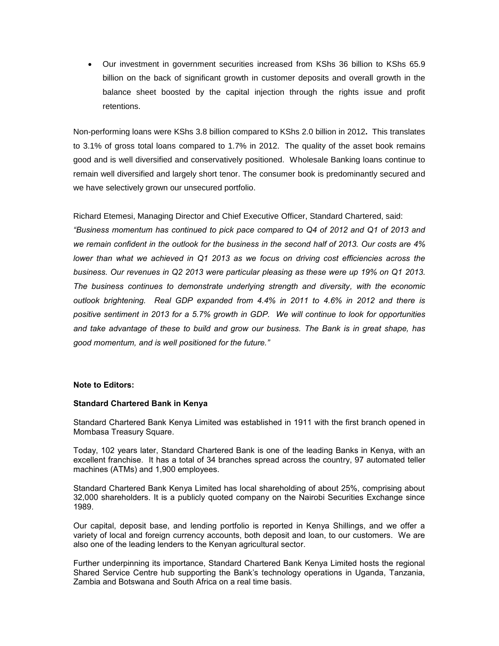Our investment in government securities increased from KShs 36 billion to KShs 65.9 billion on the back of significant growth in customer deposits and overall growth in the balance sheet boosted by the capital injection through the rights issue and profit retentions.

Non-performing loans were KShs 3.8 billion compared to KShs 2.0 billion in 2012**.** This translates to 3.1% of gross total loans compared to 1.7% in 2012. The quality of the asset book remains good and is well diversified and conservatively positioned. Wholesale Banking loans continue to remain well diversified and largely short tenor. The consumer book is predominantly secured and we have selectively grown our unsecured portfolio.

Richard Etemesi, Managing Director and Chief Executive Officer, Standard Chartered, said:

*"Business momentum has continued to pick pace compared to Q4 of 2012 and Q1 of 2013 and we remain confident in the outlook for the business in the second half of 2013. Our costs are 4%*  lower than what we achieved in Q1 2013 as we focus on driving cost efficiencies across the *business. Our revenues in Q2 2013 were particular pleasing as these were up 19% on Q1 2013. The business continues to demonstrate underlying strength and diversity, with the economic outlook brightening. Real GDP expanded from 4.4% in 2011 to 4.6% in 2012 and there is positive sentiment in 2013 for a 5.7% growth in GDP. We will continue to look for opportunities and take advantage of these to build and grow our business. The Bank is in great shape, has good momentum, and is well positioned for the future."*

# **Note to Editors:**

#### **Standard Chartered Bank in Kenya**

Standard Chartered Bank Kenya Limited was established in 1911 with the first branch opened in Mombasa Treasury Square.

Today, 102 years later, Standard Chartered Bank is one of the leading Banks in Kenya, with an excellent franchise. It has a total of 34 branches spread across the country, 97 automated teller machines (ATMs) and 1,900 employees.

Standard Chartered Bank Kenya Limited has local shareholding of about 25%, comprising about 32,000 shareholders. It is a publicly quoted company on the Nairobi Securities Exchange since 1989.

Our capital, deposit base, and lending portfolio is reported in Kenya Shillings, and we offer a variety of local and foreign currency accounts, both deposit and loan, to our customers. We are also one of the leading lenders to the Kenyan agricultural sector.

Further underpinning its importance, Standard Chartered Bank Kenya Limited hosts the regional Shared Service Centre hub supporting the Bank's technology operations in Uganda, Tanzania, Zambia and Botswana and South Africa on a real time basis.